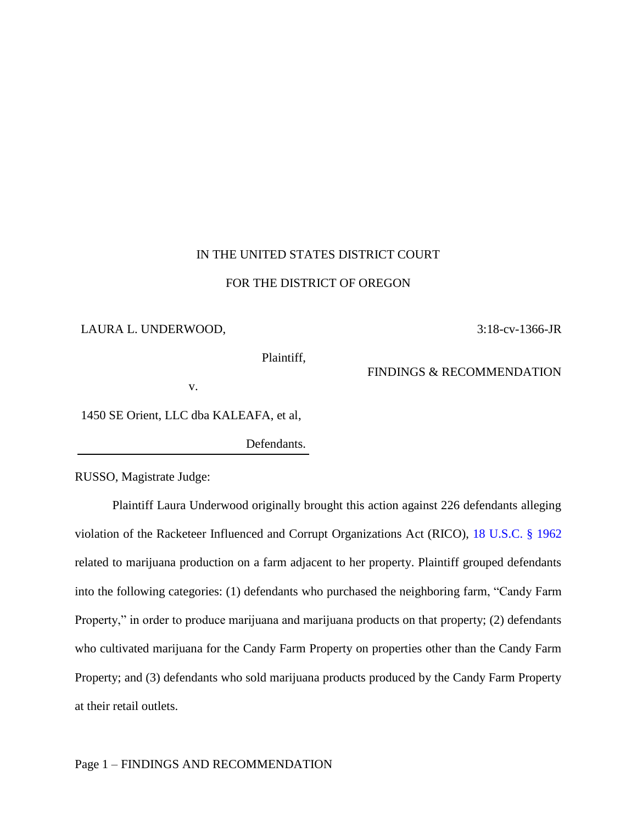# IN THE UNITED STATES DISTRICT COURT

### FOR THE DISTRICT OF OREGON

### LAURA L. UNDERWOOD,

Plaintiff,

FINDINGS & RECOMMENDATION

3:18-cv-1366-JR

v.

1450 SE Orient, LLC dba KALEAFA, et al,

Defendants.

RUSSO, Magistrate Judge:

Plaintiff Laura Underwood originally brought this action against 226 defendants alleging violation of the Racketeer Influenced and Corrupt Organizations Act (RICO), [18 U.S.C. § 1962](https://www.westlaw.com/Document/NF94379C0B36411D8983DF34406B5929B/View/FullText.html?transitionType=Default&contextData=(sc.Default)&VR=3.0&RS=da3.0) related to marijuana production on a farm adjacent to her property. Plaintiff grouped defendants into the following categories: (1) defendants who purchased the neighboring farm, "Candy Farm Property," in order to produce marijuana and marijuana products on that property; (2) defendants who cultivated marijuana for the Candy Farm Property on properties other than the Candy Farm Property; and (3) defendants who sold marijuana products produced by the Candy Farm Property at their retail outlets.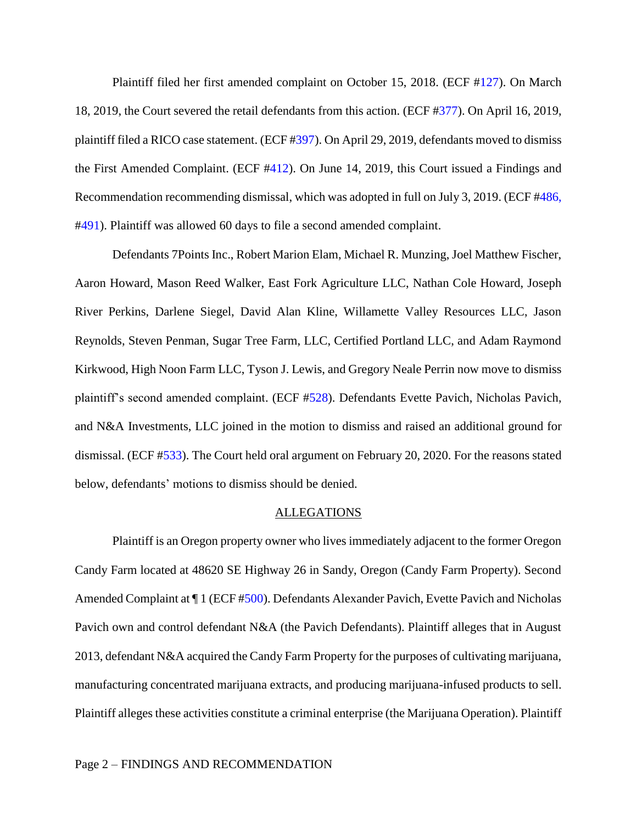Plaintiff filed her first amended complaint on October 15, 2018. (ECF [#127\)](https://ecf.ord.uscourts.gov/doc1/15116827648). On March 18, 2019, the Court severed the retail defendants from this action. (ECF [#377\)](https://ecf.ord.uscourts.gov/doc1/15117013953). On April 16, 2019, plaintiff filed a RICO case statement. (ECF [#397\)](https://ecf.ord.uscourts.gov/doc1/15117051343). On April 29, 2019, defendants moved to dismiss the First Amended Complaint. (ECF [#412\)](https://ecf.ord.uscourts.gov/doc1/15117068673). On June 14, 2019, this Court issued a Findings and Recommendation recommending dismissal, which was adopted in full on July 3, 2019. (ECF [#486,](https://ecf.ord.uscourts.gov/doc1/15117125889) [#491\)](https://ecf.ord.uscourts.gov/doc1/15117147763). Plaintiff was allowed 60 days to file a second amended complaint.

Defendants 7Points Inc., Robert Marion Elam, Michael R. Munzing, Joel Matthew Fischer, Aaron Howard, Mason Reed Walker, East Fork Agriculture LLC, Nathan Cole Howard, Joseph River Perkins, Darlene Siegel, David Alan Kline, Willamette Valley Resources LLC, Jason Reynolds, Steven Penman, Sugar Tree Farm, LLC, Certified Portland LLC, and Adam Raymond Kirkwood, High Noon Farm LLC, Tyson J. Lewis, and Gregory Neale Perrin now move to dismiss plaintiff's second amended complaint. (ECF [#528\)](https://ecf.ord.uscourts.gov/doc1/15117308486). Defendants Evette Pavich, Nicholas Pavich, and N&A Investments, LLC joined in the motion to dismiss and raised an additional ground for dismissal. (ECF [#533\)](https://ecf.ord.uscourts.gov/doc1/15117311322). The Court held oral argument on February 20, 2020. For the reasons stated below, defendants' motions to dismiss should be denied.

### ALLEGATIONS

Plaintiff is an Oregon property owner who lives immediately adjacent to the former Oregon Candy Farm located at 48620 SE Highway 26 in Sandy, Oregon (Candy Farm Property). Second Amended Complaint at  $\P$ 1 (ECF [#500\)](https://ecf.ord.uscourts.gov/doc1/15117217678). Defendants Alexander Pavich, Evette Pavich and Nicholas Pavich own and control defendant N&A (the Pavich Defendants). Plaintiff alleges that in August 2013, defendant N&A acquired the Candy Farm Property for the purposes of cultivating marijuana, manufacturing concentrated marijuana extracts, and producing marijuana-infused products to sell. Plaintiff alleges these activities constitute a criminal enterprise (the Marijuana Operation). Plaintiff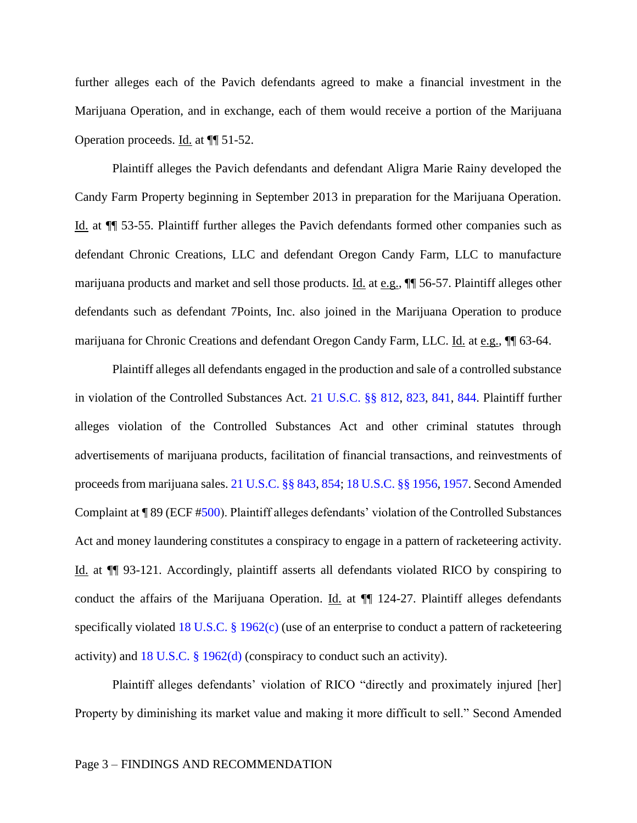further alleges each of the Pavich defendants agreed to make a financial investment in the Marijuana Operation, and in exchange, each of them would receive a portion of the Marijuana Operation proceeds. Id. at ¶¶ 51-52.

Plaintiff alleges the Pavich defendants and defendant Aligra Marie Rainy developed the Candy Farm Property beginning in September 2013 in preparation for the Marijuana Operation. Id. at ¶¶ 53-55. Plaintiff further alleges the Pavich defendants formed other companies such as defendant Chronic Creations, LLC and defendant Oregon Candy Farm, LLC to manufacture marijuana products and market and sell those products. Id. at e.g.,  $\P$  56-57. Plaintiff alleges other defendants such as defendant 7Points, Inc. also joined in the Marijuana Operation to produce marijuana for Chronic Creations and defendant Oregon Candy Farm, LLC. Id. at e.g., ¶¶ 63-64.

Plaintiff alleges all defendants engaged in the production and sale of a controlled substance in violation of the Controlled Substances Act. [21 U.S.C. §§ 812,](https://www.westlaw.com/Document/NAC6A8E102B1611E9A66A89330483893E/View/FullText.html?transitionType=Default&contextData=(sc.Default)&VR=3.0&RS=da3.0) [823,](https://1.next.westlaw.com/Document/N01D3DBF1E29B11E89FD9BC93B9798268/View/FullText.html?originationContext=documenttoc&transitionType=CategoryPageItem&contextData=(sc.Default)) [841,](https://1.next.westlaw.com/Document/NCDC72E30258D11E9886EE581FC384A29/View/FullText.html?originationContext=documenttoc&transitionType=CategoryPageItem&contextData=(sc.Default)) [844.](https://1.next.westlaw.com/Document/N7E716C10B53911DFB462BC22CE5A6A0E/View/FullText.html?originationContext=document&contextData=(sc.Category)&transitionType=StatuteNavigator&needToInjectTerms=False) Plaintiff further alleges violation of the Controlled Substances Act and other criminal statutes through advertisements of marijuana products, facilitation of financial transactions, and reinvestments of proceeds from marijuana sales. [21 U.S.C. §§ 843,](https://www.westlaw.com/Document/N1F2C7E30400411DEBC4FE2166D3981A1/View/FullText.html?transitionType=Default&contextData=(sc.Default)&VR=3.0&RS=da3.0) [854;](https://1.next.westlaw.com/Document/N86008EF0A35911D8B9DE9866EEAFC42E/View/FullText.html?originationContext=document&contextData=(sc.Document)&transitionType=StatuteNavigator&needToInjectTerms=False) [18 U.S.C. §§ 1956,](https://www.westlaw.com/Document/N6C640CF0923F11E6882CB8EEAD414055/View/FullText.html?transitionType=Default&contextData=(sc.Default)&VR=3.0&RS=da3.0) [1957.](https://1.next.westlaw.com/Document/N8C0992D017C511E28A628CD7CECCD897/View/FullText.html?originationContext=previousnextsection&contextData=(sc.Default)&transitionType=StatuteNavigator&needToInjectTerms=False) Second Amended Complaint at ¶ 89 (ECF [#500\)](https://ecf.ord.uscourts.gov/doc1/15117217678). Plaintiff alleges defendants' violation of the Controlled Substances Act and money laundering constitutes a conspiracy to engage in a pattern of racketeering activity. Id. at ¶¶ 93-121. Accordingly, plaintiff asserts all defendants violated RICO by conspiring to conduct the affairs of the Marijuana Operation. Id. at  $\P$  124-27. Plaintiff alleges defendants specifically violated [18 U.S.C. § 1962\(c\)](https://www.westlaw.com/Document/NF94379C0B36411D8983DF34406B5929B/View/FullText.html?transitionType=Default&contextData=(sc.Default)&VR=3.0&RS=da3.0) (use of an enterprise to conduct a pattern of racketeering activity) and [18 U.S.C. § 1962\(d\)](https://www.westlaw.com/Document/NF94379C0B36411D8983DF34406B5929B/View/FullText.html?transitionType=Default&contextData=(sc.Default)&VR=3.0&RS=da3.0) (conspiracy to conduct such an activity).

Plaintiff alleges defendants' violation of RICO "directly and proximately injured [her] Property by diminishing its market value and making it more difficult to sell." Second Amended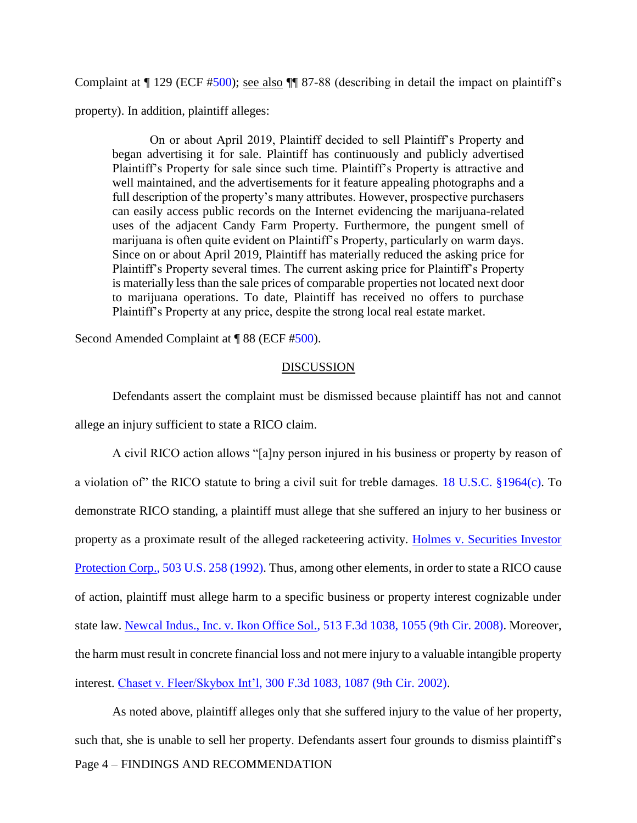Complaint at ¶ 129 (ECF [#500\)](https://ecf.ord.uscourts.gov/doc1/15117217678); see also ¶¶ 87-88 (describing in detail the impact on plaintiff's property). In addition, plaintiff alleges:

On or about April 2019, Plaintiff decided to sell Plaintiff's Property and began advertising it for sale. Plaintiff has continuously and publicly advertised Plaintiff's Property for sale since such time. Plaintiff's Property is attractive and well maintained, and the advertisements for it feature appealing photographs and a full description of the property's many attributes. However, prospective purchasers can easily access public records on the Internet evidencing the marijuana-related uses of the adjacent Candy Farm Property. Furthermore, the pungent smell of marijuana is often quite evident on Plaintiff's Property, particularly on warm days. Since on or about April 2019, Plaintiff has materially reduced the asking price for Plaintiff's Property several times. The current asking price for Plaintiff's Property is materially less than the sale prices of comparable properties not located next door to marijuana operations. To date, Plaintiff has received no offers to purchase Plaintiff's Property at any price, despite the strong local real estate market.

Second Amended Complaint at ¶ 88 (ECF [#500\)](https://ecf.ord.uscourts.gov/doc1/15117217678).

### DISCUSSION

Defendants assert the complaint must be dismissed because plaintiff has not and cannot allege an injury sufficient to state a RICO claim.

A civil RICO action allows "[a]ny person injured in his business or property by reason of a violation of" the RICO statute to bring a civil suit for treble damages. [18 U.S.C. §1964\(c\).](https://www.westlaw.com/Document/NFCBB1450B36411D8983DF34406B5929B/View/FullText.html?transitionType=Default&contextData=(sc.Default)&VR=3.0&RS=da3.0) To demonstrate RICO standing, a plaintiff must allege that she suffered an injury to her business or property as a proximate result of the alleged racketeering activity. [Holmes v. Securities Investor](https://www.westlaw.com/Document/Ia098429b9c9a11d993e6d35cc61aab4a/View/FullText.html?transitionType=Default&contextData=(sc.Default)&VR=3.0&RS=da3.0)  [Protection Corp., 503 U.S. 258 \(1992\).](https://www.westlaw.com/Document/Ia098429b9c9a11d993e6d35cc61aab4a/View/FullText.html?transitionType=Default&contextData=(sc.Default)&VR=3.0&RS=da3.0) Thus, among other elements, in order to state a RICO cause of action, plaintiff must allege harm to a specific business or property interest cognizable under state law. [Newcal Indus., Inc. v. Ikon Office Sol., 513 F.3d 1038, 1055 \(9th Cir. 2008\).](https://www.westlaw.com/Document/Id67bc408c9d311dcb6a3a099756c05b7/View/FullText.html?transitionType=Default&contextData=(sc.Default)&VR=3.0&RS=da3.0&fragmentIdentifier=co_pp_sp_506_1055) Moreover, the harm must result in concrete financial loss and not mere injury to a valuable intangible property interest. [Chaset v. Fleer/Skybox Int'l, 300](https://www.westlaw.com/Document/I58932b7979e211d9ac1ffa9f33b6c3b0/View/FullText.html?transitionType=Default&contextData=(sc.Default)&VR=3.0&RS=da3.0&fragmentIdentifier=co_pp_sp_506_1087) F.3d 1083, 1087 (9th Cir. 2002).

Page 4 – FINDINGS AND RECOMMENDATION As noted above, plaintiff alleges only that she suffered injury to the value of her property, such that, she is unable to sell her property. Defendants assert four grounds to dismiss plaintiff's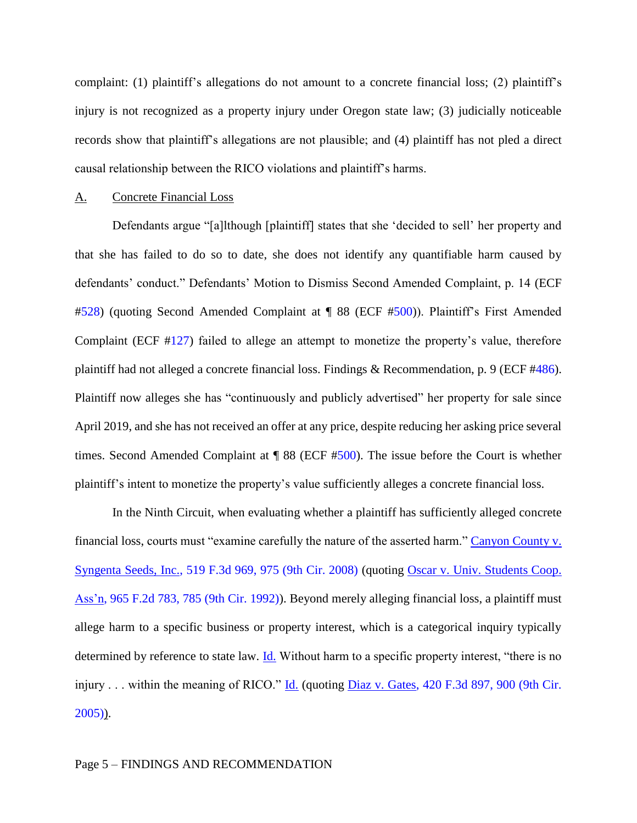complaint: (1) plaintiff's allegations do not amount to a concrete financial loss; (2) plaintiff's injury is not recognized as a property injury under Oregon state law; (3) judicially noticeable records show that plaintiff's allegations are not plausible; and (4) plaintiff has not pled a direct causal relationship between the RICO violations and plaintiff's harms.

### A. Concrete Financial Loss

Defendants argue "[a]lthough [plaintiff] states that she 'decided to sell' her property and that she has failed to do so to date, she does not identify any quantifiable harm caused by defendants' conduct." Defendants' Motion to Dismiss Second Amended Complaint, p. 14 (ECF [#528\)](https://ecf.ord.uscourts.gov/doc1/15117308486) (quoting Second Amended Complaint at ¶ 88 (ECF [#500\)](https://ecf.ord.uscourts.gov/doc1/15117217678)). Plaintiff's First Amended Complaint (ECF [#127\)](https://ecf.ord.uscourts.gov/doc1/15116827648) failed to allege an attempt to monetize the property's value, therefore plaintiff had not alleged a concrete financial loss. Findings & Recommendation, p. 9 (ECF [#486\)](https://ecf.ord.uscourts.gov/doc1/15117125889). Plaintiff now alleges she has "continuously and publicly advertised" her property for sale since April 2019, and she has not received an offer at any price, despite reducing her asking price several times. Second Amended Complaint at  $\P$  88 (ECF [#500\)](https://ecf.ord.uscourts.gov/doc1/15117217678). The issue before the Court is whether plaintiff's intent to monetize the property's value sufficiently alleges a concrete financial loss.

In the Ninth Circuit, when evaluating whether a plaintiff has sufficiently alleged concrete financial loss, courts must "examine carefully the nature of the asserted harm." Canyon County v. [Syngenta Seeds, Inc., 519 F.3d 969, 975 \(9th Cir. 2008\)](https://www.westlaw.com/Document/I6794bd61f76911dca9c2f716e0c816ba/View/FullText.html?transitionType=Default&contextData=(sc.Default)&VR=3.0&RS=da3.0&fragmentIdentifier=co_pp_sp_506_975) (quoting [Oscar v. Univ. Students Coop.](https://www.westlaw.com/Document/Ia8e9dc6994cf11d9bdd1cfdd544ca3a4/View/FullText.html?transitionType=Default&contextData=(sc.Default)&VR=3.0&RS=da3.0&fragmentIdentifier=co_pp_sp_350_785)  [Ass'n, 965 F.2d 783, 785 \(9th Cir. 1992\)\)](https://www.westlaw.com/Document/Ia8e9dc6994cf11d9bdd1cfdd544ca3a4/View/FullText.html?transitionType=Default&contextData=(sc.Default)&VR=3.0&RS=da3.0&fragmentIdentifier=co_pp_sp_350_785). Beyond merely alleging financial loss, a plaintiff must allege harm to a specific business or property interest, which is a categorical inquiry typically determined by reference to state law. **Id.** Without harm to a specific property interest, "there is no injury . . . within the meaning of RICO."  $\underline{Id}$ . (quoting  $\underline{Diaz}$  v. Gates, 420 F.3d 897, 900 (9th Cir.  $2005)$ ).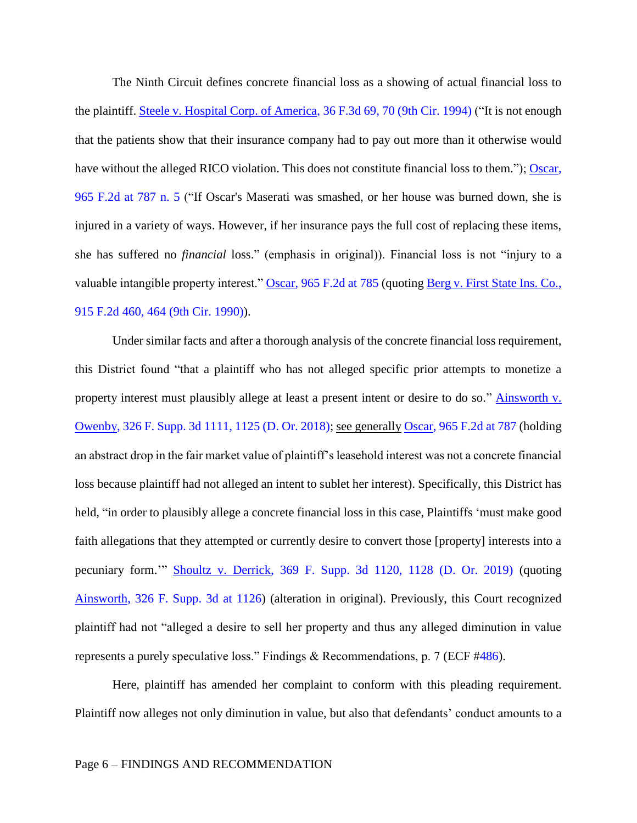The Ninth Circuit defines concrete financial loss as a showing of actual financial loss to the plaintiff. Steele [v. Hospital Corp. of America, 36 F.3d 69, 70 \(9th Cir. 1994\)](https://www.westlaw.com/Document/Id5f228d9970811d9a707f4371c9c34f0/View/FullText.html?transitionType=Default&contextData=(sc.Default)&VR=3.0&RS=da3.0&fragmentIdentifier=co_pp_sp_506_70) ("It is not enough that the patients show that their insurance company had to pay out more than it otherwise would have without the alleged RICO violation. This does not constitute financial loss to them."); Oscar, [965 F.2d](https://www.westlaw.com/Document/Ia8e9dc6994cf11d9bdd1cfdd544ca3a4/View/FullText.html?transitionType=Default&contextData=(sc.Default)&VR=3.0&RS=da3.0&fragmentIdentifier=co_pp_sp_350_787) at 787 n. 5 ("If Oscar's Maserati was smashed, or her house was burned down, she is injured in a variety of ways. However, if her insurance pays the full cost of replacing these items, she has suffered no *financial* loss." (emphasis in original)). Financial loss is not "injury to a valuable intangible property interest." [Oscar, 965 F.2d at](https://www.westlaw.com/Document/Ia8e9dc6994cf11d9bdd1cfdd544ca3a4/View/FullText.html?transitionType=Default&contextData=(sc.Default)&VR=3.0&RS=da3.0&fragmentIdentifier=co_pp_sp_350_785) 785 (quoting Berg v. First State Ins. Co., [915 F.2d 460, 464 \(9th Cir. 1990\)\)](https://www.westlaw.com/Document/I77a5f7d6972511d9a707f4371c9c34f0/View/FullText.html?transitionType=Default&contextData=(sc.Default)&VR=3.0&RS=da3.0&fragmentIdentifier=co_pp_sp_350_464).

Under similar facts and after a thorough analysis of the concrete financial loss requirement, this District found "that a plaintiff who has not alleged specific prior attempts to monetize a property interest must plausibly allege at least a present intent or desire to do so." Ainsworth v. [Owenby, 326 F. Supp. 3d 1111, 1125 \(D. Or. 2018\);](https://www.westlaw.com/Document/Icbf5f330a48111e8943bb2cb5f7224e8/View/FullText.html?transitionType=Default&contextData=(sc.Default)&VR=3.0&RS=da3.0&fragmentIdentifier=co_pp_sp_7903_1125) see generally [Oscar, 965 F.2d at 787](https://www.westlaw.com/Document/Ia8e9dc6994cf11d9bdd1cfdd544ca3a4/View/FullText.html?transitionType=Default&contextData=(sc.Default)&VR=3.0&RS=da3.0&fragmentIdentifier=co_pp_sp_350_787) (holding an abstract drop in the fair market value of plaintiff's leasehold interest was not a concrete financial loss because plaintiff had not alleged an intent to sublet her interest). Specifically, this District has held, "in order to plausibly allege a concrete financial loss in this case, Plaintiffs 'must make good faith allegations that they attempted or currently desire to convert those [property] interests into a pecuniary form.'" [Shoultz v. Derrick, 369 F. Supp. 3d 1120, 1128 \(D. Or. 2019\)](https://www.westlaw.com/Document/I2c455060391411e987fd8441446aa305/View/FullText.html?transitionType=Default&contextData=(sc.Default)&VR=3.0&RS=da3.0&fragmentIdentifier=co_pp_sp_7903_1128) (quoting [Ainsworth, 326 F. Supp. 3d at 1126\)](https://www.westlaw.com/Document/Icbf5f330a48111e8943bb2cb5f7224e8/View/FullText.html?transitionType=Default&contextData=(sc.Default)&VR=3.0&RS=da3.0&fragmentIdentifier=co_pp_sp_7903_1126) (alteration in original). Previously, this Court recognized plaintiff had not "alleged a desire to sell her property and thus any alleged diminution in value represents a purely speculative loss." Findings & Recommendations, p. 7 (ECF [#486\)](https://ecf.ord.uscourts.gov/doc1/15117125889).

Here, plaintiff has amended her complaint to conform with this pleading requirement. Plaintiff now alleges not only diminution in value, but also that defendants' conduct amounts to a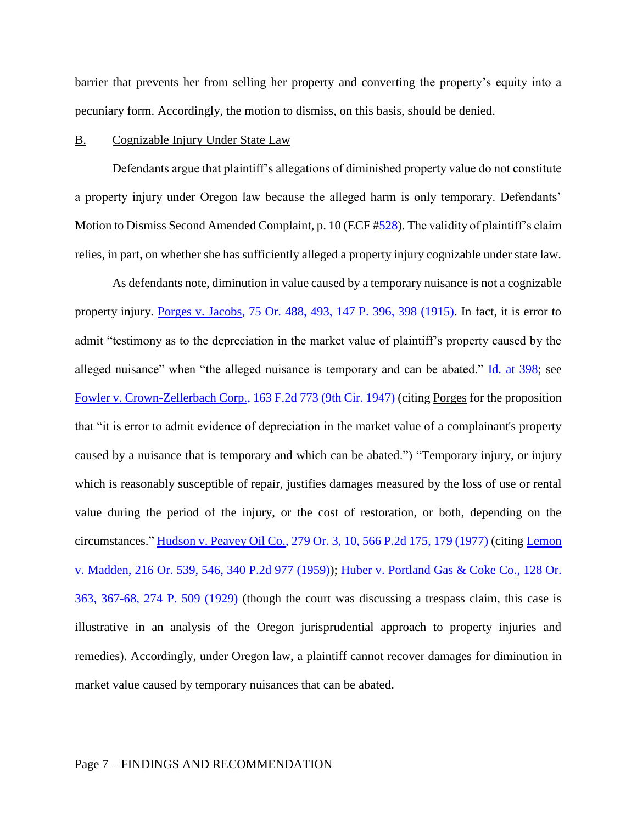barrier that prevents her from selling her property and converting the property's equity into a pecuniary form. Accordingly, the motion to dismiss, on this basis, should be denied.

### B. Cognizable Injury Under State Law

Defendants argue that plaintiff's allegations of diminished property value do not constitute a property injury under Oregon law because the alleged harm is only temporary. Defendants' Motion to Dismiss Second Amended Complaint, p. 10 (ECF [#528\)](https://ecf.ord.uscourts.gov/doc1/15117308486). The validity of plaintiff's claim relies, in part, on whether she has sufficiently alleged a property injury cognizable under state law.

As defendants note, diminution in value caused by a temporary nuisance is not a cognizable property injury. [Porges v. Jacobs, 75 Or. 488, 493, 147 P. 396, 398 \(1915\).](https://www.westlaw.com/Document/Ifa9aa1f9f7f011d983e7e9deff98dc6f/View/FullText.html?transitionType=Default&contextData=(sc.Default)&VR=3.0&RS=da3.0&fragmentIdentifier=co_pp_sp_641_493) In fact, it is error to admit "testimony as to the depreciation in the market value of plaintiff's property caused by the alleged nuisance" when "the alleged nuisance is temporary and can be abated."  $\underline{Id}$  [at 398;](https://www.westlaw.com/Document/Ia098429b9c9a11d993e6d35cc61aab4a/View/FullText.html?transitionType=Default&contextData=(sc.Default)&VR=3.0&RS=da3.0&fragmentIdentifier=co_pp_sp_780_398) see [Fowler v. Crown-Zellerbach Corp., 163 F.2d 773 \(9th Cir. 1947\)](https://www.westlaw.com/Document/If59048e4549e11d9a99c85a9e6023ffa/View/FullText.html?transitionType=Default&contextData=(sc.Default)&VR=3.0&RS=da3.0) (citing Porges for the proposition that "it is error to admit evidence of depreciation in the market value of a complainant's property caused by a nuisance that is temporary and which can be abated.") "Temporary injury, or injury which is reasonably susceptible of repair, justifies damages measured by the loss of use or rental value during the period of the injury, or the cost of restoration, or both, depending on the circumstances." [Hudson v. Peavey Oil Co., 279 Or. 3, 10, 566 P.2d 175, 179 \(1977\)](https://www.westlaw.com/Document/Ie8073fa5f74a11d9b386b232635db992/View/FullText.html?transitionType=Default&contextData=(sc.Default)&VR=3.0&RS=da3.0&fragmentIdentifier=co_pp_sp_641_10) (citing [Lemon](https://www.westlaw.com/Document/I71e40e87f76111d9b386b232635db992/View/FullText.html?transitionType=Default&contextData=(sc.Default)&VR=3.0&RS=da3.0&fragmentIdentifier=co_pp_sp_641_546)  [v. Madden, 216 Or. 539, 546, 340 P.2d 977 \(1959\)\)](https://www.westlaw.com/Document/I71e40e87f76111d9b386b232635db992/View/FullText.html?transitionType=Default&contextData=(sc.Default)&VR=3.0&RS=da3.0&fragmentIdentifier=co_pp_sp_641_546); [Huber v. Portland Gas & Coke Co., 128 Or.](https://www.westlaw.com/Document/Id4452914f7d411d98ac8f235252e36df/View/FullText.html?transitionType=Default&contextData=(sc.Default)&VR=3.0&RS=da3.0&fragmentIdentifier=co_pp_sp_641_367)  [363, 367-68, 274 P. 509 \(1929\)](https://www.westlaw.com/Document/Id4452914f7d411d98ac8f235252e36df/View/FullText.html?transitionType=Default&contextData=(sc.Default)&VR=3.0&RS=da3.0&fragmentIdentifier=co_pp_sp_641_367) (though the court was discussing a trespass claim, this case is illustrative in an analysis of the Oregon jurisprudential approach to property injuries and remedies). Accordingly, under Oregon law, a plaintiff cannot recover damages for diminution in market value caused by temporary nuisances that can be abated.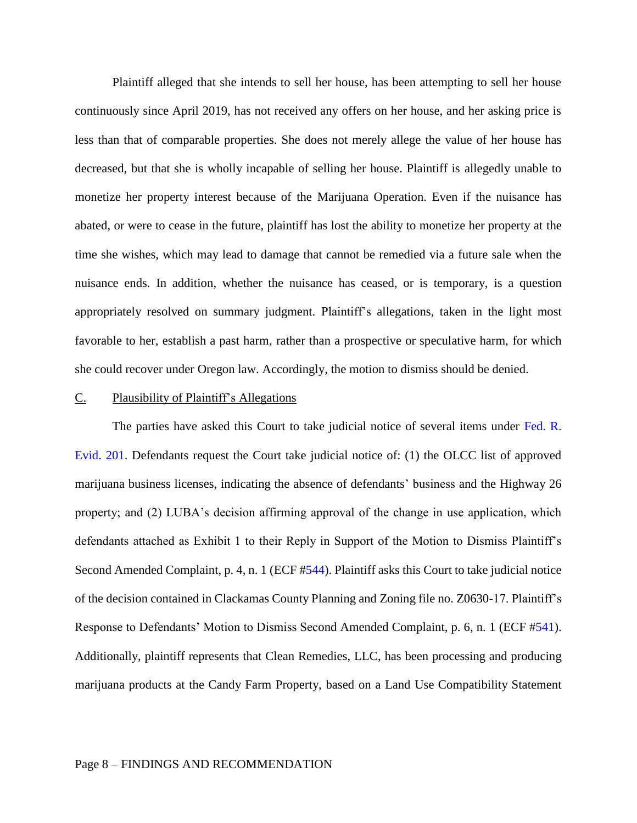Plaintiff alleged that she intends to sell her house, has been attempting to sell her house continuously since April 2019, has not received any offers on her house, and her asking price is less than that of comparable properties. She does not merely allege the value of her house has decreased, but that she is wholly incapable of selling her house. Plaintiff is allegedly unable to monetize her property interest because of the Marijuana Operation. Even if the nuisance has abated, or were to cease in the future, plaintiff has lost the ability to monetize her property at the time she wishes, which may lead to damage that cannot be remedied via a future sale when the nuisance ends. In addition, whether the nuisance has ceased, or is temporary, is a question appropriately resolved on summary judgment. Plaintiff's allegations, taken in the light most favorable to her, establish a past harm, rather than a prospective or speculative harm, for which she could recover under Oregon law. Accordingly, the motion to dismiss should be denied.

#### C. Plausibility of Plaintiff's Allegations

The parties have asked this Court to take judicial notice of several items under [Fed. R.](https://www.westlaw.com/Document/N3CBEF130B96D11D8983DF34406B5929B/View/FullText.html?transitionType=Default&contextData=(sc.Default)&VR=3.0&RS=da3.0)  [Evid.](https://www.westlaw.com/Document/N3CBEF130B96D11D8983DF34406B5929B/View/FullText.html?transitionType=Default&contextData=(sc.Default)&VR=3.0&RS=da3.0) 201. Defendants request the Court take judicial notice of: (1) the OLCC list of approved marijuana business licenses, indicating the absence of defendants' business and the Highway 26 property; and (2) LUBA's decision affirming approval of the change in use application, which defendants attached as Exhibit 1 to their Reply in Support of the Motion to Dismiss Plaintiff's Second Amended Complaint, p. 4, n. 1 (ECF [#544\)](https://ecf.ord.uscourts.gov/doc1/15107356424). Plaintiff asks this Court to take judicial notice of the decision contained in Clackamas County Planning and Zoning file no. Z0630-17. Plaintiff's Response to Defendants' Motion to Dismiss Second Amended Complaint, p. 6, n. 1 (ECF [#541\)](https://ecf.ord.uscourts.gov/doc1/15117342252). Additionally, plaintiff represents that Clean Remedies, LLC, has been processing and producing marijuana products at the Candy Farm Property, based on a Land Use Compatibility Statement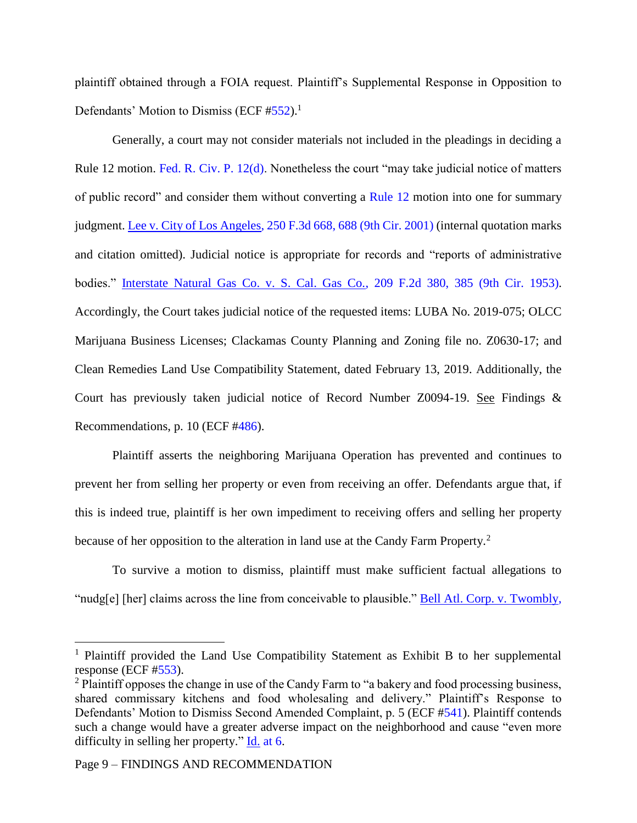plaintiff obtained through a FOIA request. Plaintiff's Supplemental Response in Opposition to Defendants' Motion to Dismiss (ECF  $#552$ ).<sup>1</sup>

Generally, a court may not consider materials not included in the pleadings in deciding a Rule 12 motion. [Fed. R. Civ. P. 12\(d\).](https://www.westlaw.com/Document/N96C8CD1043A111DC8D9EC9ECEEDEF2EE/View/FullText.html?transitionType=Default&contextData=(sc.Default)&VR=3.0&RS=da3.0) Nonetheless the court "may take judicial notice of matters of public record" and consider them without converting a [Rule 12](https://www.westlaw.com/Document/N96C8CD1043A111DC8D9EC9ECEEDEF2EE/View/FullText.html?transitionType=Default&contextData=(sc.Default)&VR=3.0&RS=da3.0) motion into one for summary judgment. [Lee v. City of Los Angeles, 250 F.3d 668, 688 \(9th Cir. 2001\)](https://www.westlaw.com/Document/I79e4564e79b111d9bf29e2067ad74e5b/View/FullText.html?transitionType=Default&contextData=(sc.Default)&VR=3.0&RS=da3.0&fragmentIdentifier=co_pp_sp_506_688) (internal quotation marks and citation omitted). Judicial notice is appropriate for records and "reports of administrative bodies." [Interstate Natural Gas Co. v. S. Cal. Gas Co., 209 F.2d 380, 385 \(9th Cir.](https://www.westlaw.com/Document/If9b974b38e7c11d9a707f4371c9c34f0/View/FullText.html?transitionType=Default&contextData=(sc.Default)&VR=3.0&RS=da3.0&fragmentIdentifier=co_pp_sp_350_385) 1953). Accordingly, the Court takes judicial notice of the requested items: LUBA No. 2019-075; OLCC Marijuana Business Licenses; Clackamas County Planning and Zoning file no. Z0630-17; and Clean Remedies Land Use Compatibility Statement, dated February 13, 2019. Additionally, the Court has previously taken judicial notice of Record Number Z0094-19. See Findings & Recommendations, p. 10 (ECF [#486\)](https://ecf.ord.uscourts.gov/doc1/15117125889).

Plaintiff asserts the neighboring Marijuana Operation has prevented and continues to prevent her from selling her property or even from receiving an offer. Defendants argue that, if this is indeed true, plaintiff is her own impediment to receiving offers and selling her property because of her opposition to the alteration in land use at the Candy Farm Property.<sup>2</sup>

To survive a motion to dismiss, plaintiff must make sufficient factual allegations to "nudg[e] [her] claims across the line from conceivable to plausible." [Bell Atl. Corp. v. Twombly,](https://www.westlaw.com/Document/Ib53eb62e07a011dcb035bac3a32ef289/View/FullText.html?transitionType=Default&contextData=(sc.Default)&VR=3.0&RS=da3.0&fragmentIdentifier=co_pp_sp_780_570) 

 $\overline{a}$ 

<sup>&</sup>lt;sup>1</sup> Plaintiff provided the Land Use Compatibility Statement as Exhibit B to her supplemental response (ECF [#553\)](https://ecf.ord.uscourts.gov/doc1/15117416200).

<sup>&</sup>lt;sup>2</sup> Plaintiff opposes the change in use of the Candy Farm to "a bakery and food processing business, shared commissary kitchens and food wholesaling and delivery." Plaintiff's Response to Defendants' Motion to Dismiss Second Amended Complaint, p. 5 (ECF [#541\)](https://ecf.ord.uscourts.gov/doc1/15117342252). Plaintiff contends such a change would have a greater adverse impact on the neighborhood and cause "even more difficulty in selling her property." Id. [at 6.](https://www.westlaw.com/Document/Ie8073fa5f74a11d9b386b232635db992/View/FullText.html?transitionType=Default&contextData=(sc.Default)&VR=3.0&RS=da3.0&fragmentIdentifier=co_pp_sp_641_6)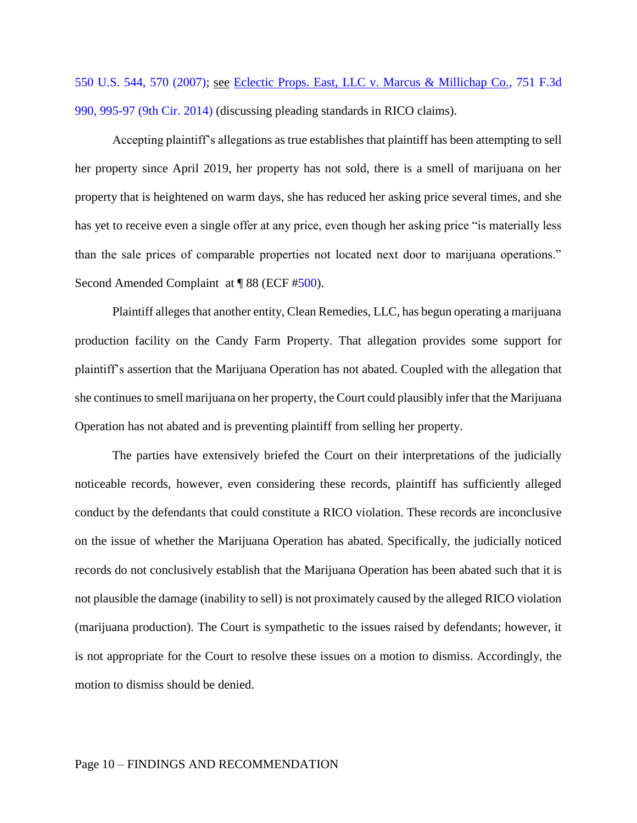[550 U.S. 544, 570 \(2007\);](https://www.westlaw.com/Document/Ib53eb62e07a011dcb035bac3a32ef289/View/FullText.html?transitionType=Default&contextData=(sc.Default)&VR=3.0&RS=da3.0&fragmentIdentifier=co_pp_sp_780_570) see [Eclectic Props. East, LLC v. Marcus & Millichap Co., 751 F.3d](https://www.westlaw.com/Document/Ia4a8b7d0d5ee11e39488c8f438320c70/View/FullText.html?transitionType=Default&contextData=(sc.Default)&VR=3.0&RS=da3.0&fragmentIdentifier=co_pp_sp_506_995)  [990, 995-97 \(9th Cir. 2014\)](https://www.westlaw.com/Document/Ia4a8b7d0d5ee11e39488c8f438320c70/View/FullText.html?transitionType=Default&contextData=(sc.Default)&VR=3.0&RS=da3.0&fragmentIdentifier=co_pp_sp_506_995) (discussing pleading standards in RICO claims).

Accepting plaintiff's allegations as true establishes that plaintiff has been attempting to sell her property since April 2019, her property has not sold, there is a smell of marijuana on her property that is heightened on warm days, she has reduced her asking price several times, and she has yet to receive even a single offer at any price, even though her asking price "is materially less than the sale prices of comparable properties not located next door to marijuana operations." Second Amended Complaint at ¶ 88 (ECF [#500\)](https://ecf.ord.uscourts.gov/doc1/15117217678).

Plaintiff alleges that another entity, Clean Remedies, LLC, has begun operating a marijuana production facility on the Candy Farm Property. That allegation provides some support for plaintiff's assertion that the Marijuana Operation has not abated. Coupled with the allegation that she continues to smell marijuana on her property, the Court could plausibly infer that the Marijuana Operation has not abated and is preventing plaintiff from selling her property.

The parties have extensively briefed the Court on their interpretations of the judicially noticeable records, however, even considering these records, plaintiff has sufficiently alleged conduct by the defendants that could constitute a RICO violation. These records are inconclusive on the issue of whether the Marijuana Operation has abated. Specifically, the judicially noticed records do not conclusively establish that the Marijuana Operation has been abated such that it is not plausible the damage (inability to sell) is not proximately caused by the alleged RICO violation (marijuana production). The Court is sympathetic to the issues raised by defendants; however, it is not appropriate for the Court to resolve these issues on a motion to dismiss. Accordingly, the motion to dismiss should be denied.

#### Page 10 – FINDINGS AND RECOMMENDATION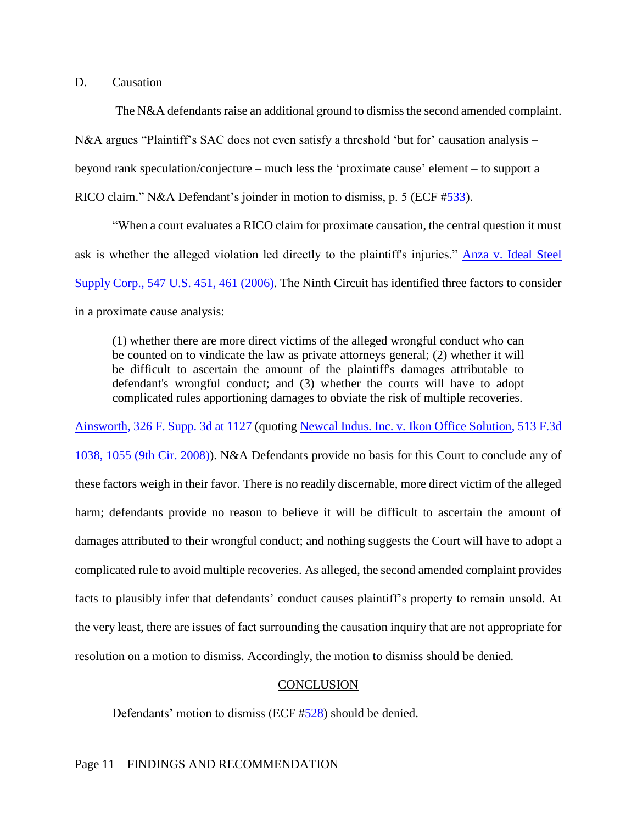# D. Causation

The N&A defendants raise an additional ground to dismiss the second amended complaint. N&A argues "Plaintiff's SAC does not even satisfy a threshold 'but for' causation analysis – beyond rank speculation/conjecture – much less the 'proximate cause' element – to support a RICO claim." N&A Defendant's joinder in motion to dismiss, p. 5 (ECF [#533\)](https://ecf.ord.uscourts.gov/doc1/15117311322).

"When a court evaluates a RICO claim for proximate causation, the central question it must ask is whether the alleged violation led directly to the plaintiff's injuries." Anza v. Ideal Steel [Supply Corp., 547 U.S. 451, 461 \(2006\).](https://www.westlaw.com/Document/I3411bfb2f2e211daa2529ff4f933adbe/View/FullText.html?transitionType=Default&contextData=(sc.Default)&VR=3.0&RS=da3.0&fragmentIdentifier=co_pp_sp_780_461) The Ninth Circuit has identified three factors to consider in a proximate cause analysis:

(1) whether there are more direct victims of the alleged wrongful conduct who can be counted on to vindicate the law as private attorneys general; (2) whether it will be difficult to ascertain the amount of the plaintiff's damages attributable to defendant's wrongful conduct; and (3) whether the courts will have to adopt complicated rules apportioning damages to obviate the risk of multiple recoveries.

[Ainsworth, 326 F. Supp. 3d at 1127](https://www.westlaw.com/Document/Icbf5f330a48111e8943bb2cb5f7224e8/View/FullText.html?transitionType=Default&contextData=(sc.Default)&VR=3.0&RS=da3.0&fragmentIdentifier=co_pp_sp_7903_1127) (quoting [Newcal Indus. Inc. v. Ikon Office Solution, 513 F.3d](https://www.westlaw.com/Document/Id67bc408c9d311dcb6a3a099756c05b7/View/FullText.html?transitionType=Default&contextData=(sc.Default)&VR=3.0&RS=da3.0&fragmentIdentifier=co_pp_sp_506_1055)  [1038, 1055 \(9th Cir. 2008\)\)](https://www.westlaw.com/Document/Id67bc408c9d311dcb6a3a099756c05b7/View/FullText.html?transitionType=Default&contextData=(sc.Default)&VR=3.0&RS=da3.0&fragmentIdentifier=co_pp_sp_506_1055). N&A Defendants provide no basis for this Court to conclude any of these factors weigh in their favor. There is no readily discernable, more direct victim of the alleged harm; defendants provide no reason to believe it will be difficult to ascertain the amount of damages attributed to their wrongful conduct; and nothing suggests the Court will have to adopt a complicated rule to avoid multiple recoveries. As alleged, the second amended complaint provides facts to plausibly infer that defendants' conduct causes plaintiff's property to remain unsold. At the very least, there are issues of fact surrounding the causation inquiry that are not appropriate for resolution on a motion to dismiss. Accordingly, the motion to dismiss should be denied.

# **CONCLUSION**

Defendants' motion to dismiss (ECF [#528\)](https://ecf.ord.uscourts.gov/doc1/15117308486) should be denied.